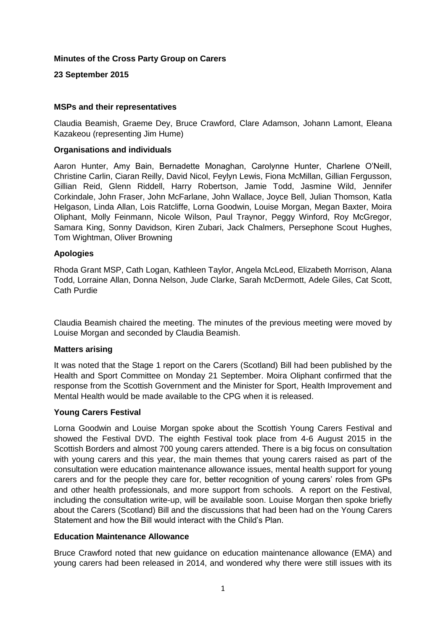## **Minutes of the Cross Party Group on Carers**

## **23 September 2015**

### **MSPs and their representatives**

Claudia Beamish, Graeme Dey, Bruce Crawford, Clare Adamson, Johann Lamont, Eleana Kazakeou (representing Jim Hume)

#### **Organisations and individuals**

Aaron Hunter, Amy Bain, Bernadette Monaghan, Carolynne Hunter, Charlene O'Neill, Christine Carlin, Ciaran Reilly, David Nicol, Feylyn Lewis, Fiona McMillan, Gillian Fergusson, Gillian Reid, Glenn Riddell, Harry Robertson, Jamie Todd, Jasmine Wild, Jennifer Corkindale, John Fraser, John McFarlane, John Wallace, Joyce Bell, Julian Thomson, Katla Helgason, Linda Allan, Lois Ratcliffe, Lorna Goodwin, Louise Morgan, Megan Baxter, Moira Oliphant, Molly Feinmann, Nicole Wilson, Paul Traynor, Peggy Winford, Roy McGregor, Samara King, Sonny Davidson, Kiren Zubari, Jack Chalmers, Persephone Scout Hughes, Tom Wightman, Oliver Browning

#### **Apologies**

Rhoda Grant MSP, Cath Logan, Kathleen Taylor, Angela McLeod, Elizabeth Morrison, Alana Todd, Lorraine Allan, Donna Nelson, Jude Clarke, Sarah McDermott, Adele Giles, Cat Scott, Cath Purdie

Claudia Beamish chaired the meeting. The minutes of the previous meeting were moved by Louise Morgan and seconded by Claudia Beamish.

#### **Matters arising**

It was noted that the Stage 1 report on the Carers (Scotland) Bill had been published by the Health and Sport Committee on Monday 21 September. Moira Oliphant confirmed that the response from the Scottish Government and the Minister for Sport, Health Improvement and Mental Health would be made available to the CPG when it is released.

### **Young Carers Festival**

Lorna Goodwin and Louise Morgan spoke about the Scottish Young Carers Festival and showed the Festival DVD. The eighth Festival took place from 4-6 August 2015 in the Scottish Borders and almost 700 young carers attended. There is a big focus on consultation with young carers and this year, the main themes that young carers raised as part of the consultation were education maintenance allowance issues, mental health support for young carers and for the people they care for, better recognition of young carers' roles from GPs and other health professionals, and more support from schools. A report on the Festival, including the consultation write-up, will be available soon. Louise Morgan then spoke briefly about the Carers (Scotland) Bill and the discussions that had been had on the Young Carers Statement and how the Bill would interact with the Child's Plan.

### **Education Maintenance Allowance**

Bruce Crawford noted that new guidance on education maintenance allowance (EMA) and young carers had been released in 2014, and wondered why there were still issues with its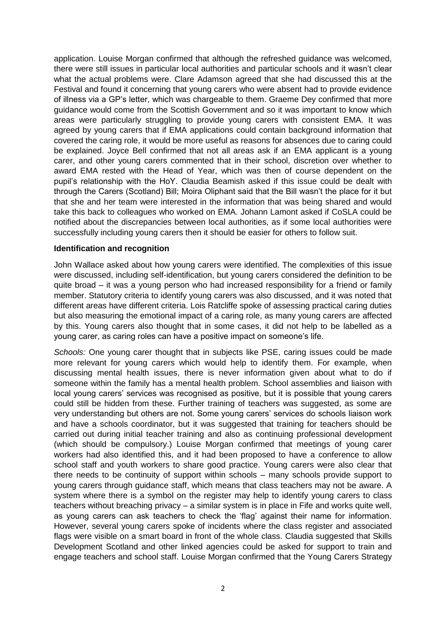application. Louise Morgan confirmed that although the refreshed guidance was welcomed, there were still issues in particular local authorities and particular schools and it wasn't clear what the actual problems were. Clare Adamson agreed that she had discussed this at the Festival and found it concerning that young carers who were absent had to provide evidence of illness via a GP's letter, which was chargeable to them. Graeme Dey confirmed that more guidance would come from the Scottish Government and so it was important to know which areas were particularly struggling to provide young carers with consistent EMA. It was agreed by young carers that if EMA applications could contain background information that covered the caring role, it would be more useful as reasons for absences due to caring could be explained. Joyce Bell confirmed that not all areas ask if an EMA applicant is a young carer, and other young carers commented that in their school, discretion over whether to award EMA rested with the Head of Year, which was then of course dependent on the pupil's relationship with the HoY. Claudia Beamish asked if this issue could be dealt with through the Carers (Scotland) Bill; Moira Oliphant said that the Bill wasn't the place for it but that she and her team were interested in the information that was being shared and would take this back to colleagues who worked on EMA. Johann Lamont asked if CoSLA could be notified about the discrepancies between local authorities, as if some local authorities were successfully including young carers then it should be easier for others to follow suit.

#### **Identification and recognition**

John Wallace asked about how young carers were identified. The complexities of this issue were discussed, including self-identification, but young carers considered the definition to be quite broad – it was a young person who had increased responsibility for a friend or family member. Statutory criteria to identify young carers was also discussed, and it was noted that different areas have different criteria. Lois Ratcliffe spoke of assessing practical caring duties but also measuring the emotional impact of a caring role, as many young carers are affected by this. Young carers also thought that in some cases, it did not help to be labelled as a young carer, as caring roles can have a positive impact on someone's life.

*Schools:* One young carer thought that in subjects like PSE, caring issues could be made more relevant for young carers which would help to identify them. For example, when discussing mental health issues, there is never information given about what to do if someone within the family has a mental health problem. School assemblies and liaison with local young carers' services was recognised as positive, but it is possible that young carers could still be hidden from these. Further training of teachers was suggested, as some are very understanding but others are not. Some young carers' services do schools liaison work and have a schools coordinator, but it was suggested that training for teachers should be carried out during initial teacher training and also as continuing professional development (which should be compulsory.) Louise Morgan confirmed that meetings of young carer workers had also identified this, and it had been proposed to have a conference to allow school staff and youth workers to share good practice. Young carers were also clear that there needs to be continuity of support within schools – many schools provide support to young carers through guidance staff, which means that class teachers may not be aware. A system where there is a symbol on the register may help to identify young carers to class teachers without breaching privacy – a similar system is in place in Fife and works quite well, as young carers can ask teachers to check the 'flag' against their name for information. However, several young carers spoke of incidents where the class register and associated flags were visible on a smart board in front of the whole class. Claudia suggested that Skills Development Scotland and other linked agencies could be asked for support to train and engage teachers and school staff. Louise Morgan confirmed that the Young Carers Strategy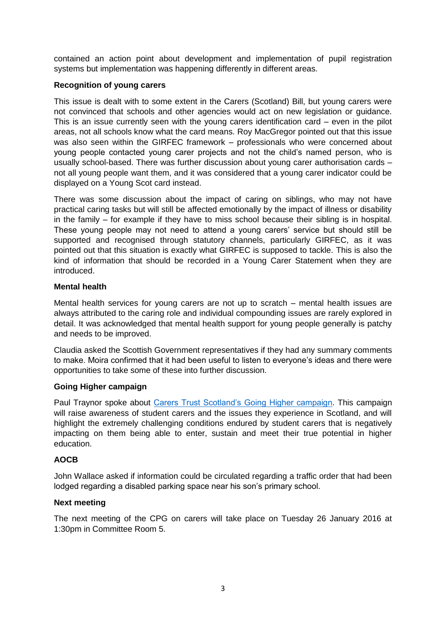contained an action point about development and implementation of pupil registration systems but implementation was happening differently in different areas.

## **Recognition of young carers**

This issue is dealt with to some extent in the Carers (Scotland) Bill, but young carers were not convinced that schools and other agencies would act on new legislation or guidance. This is an issue currently seen with the young carers identification card – even in the pilot areas, not all schools know what the card means. Roy MacGregor pointed out that this issue was also seen within the GIRFEC framework – professionals who were concerned about young people contacted young carer projects and not the child's named person, who is usually school-based. There was further discussion about young carer authorisation cards – not all young people want them, and it was considered that a young carer indicator could be displayed on a Young Scot card instead.

There was some discussion about the impact of caring on siblings, who may not have practical caring tasks but will still be affected emotionally by the impact of illness or disability in the family – for example if they have to miss school because their sibling is in hospital. These young people may not need to attend a young carers' service but should still be supported and recognised through statutory channels, particularly GIRFEC, as it was pointed out that this situation is exactly what GIRFEC is supposed to tackle. This is also the kind of information that should be recorded in a Young Carer Statement when they are introduced.

## **Mental health**

Mental health services for young carers are not up to scratch – mental health issues are always attributed to the caring role and individual compounding issues are rarely explored in detail. It was acknowledged that mental health support for young people generally is patchy and needs to be improved.

Claudia asked the Scottish Government representatives if they had any summary comments to make. Moira confirmed that it had been useful to listen to everyone's ideas and there were opportunities to take some of these into further discussion.

# **Going Higher campaign**

Paul Traynor spoke about [Carers Trust Scotland's Going Higher campaign.](http://www.carers.org/going-higher-scotland) This campaign will raise awareness of student carers and the issues they experience in Scotland, and will highlight the extremely challenging conditions endured by student carers that is negatively impacting on them being able to enter, sustain and meet their true potential in higher education.

### **AOCB**

John Wallace asked if information could be circulated regarding a traffic order that had been lodged regarding a disabled parking space near his son's primary school.

### **Next meeting**

The next meeting of the CPG on carers will take place on Tuesday 26 January 2016 at 1:30pm in Committee Room 5.